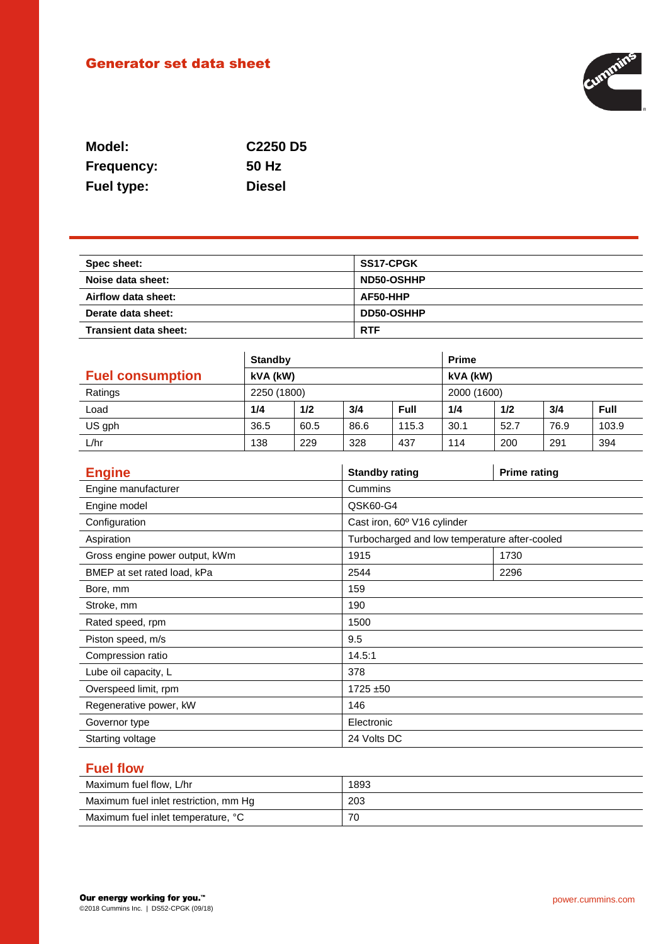# Generator set data sheet



| Model:            | C <sub>2250</sub> D <sub>5</sub> |
|-------------------|----------------------------------|
| <b>Frequency:</b> | 50 Hz                            |
| <b>Fuel type:</b> | <b>Diesel</b>                    |

| Spec sheet:           | <b>SS17-CPGK</b>  |
|-----------------------|-------------------|
| Noise data sheet:     | ND50-OSHHP        |
| Airflow data sheet:   | AF50-HHP          |
| Derate data sheet:    | <b>DD50-OSHHP</b> |
| Transient data sheet: | <b>RTF</b>        |

|                         | <b>Standby</b> |      |      | <b>Prime</b> |      |      |      |       |
|-------------------------|----------------|------|------|--------------|------|------|------|-------|
| <b>Fuel consumption</b> | kVA (kW)       |      |      | kVA (kW)     |      |      |      |       |
| Ratings                 | 2250 (1800)    |      |      | 2000 (1600)  |      |      |      |       |
| Load                    | 1/4            | 1/2  | 3/4  | Full         | 1/4  | 1/2  | 3/4  | Full  |
| US gph                  | 36.5           | 60.5 | 86.6 | 115.3        | 30.1 | 52.7 | 76.9 | 103.9 |
| L/hr                    | 138            | 229  | 328  | 437          | 114  | 200  | 291  | 394   |

| <b>Engine</b>                  | <b>Standby rating</b>                         | <b>Prime rating</b> |
|--------------------------------|-----------------------------------------------|---------------------|
| Engine manufacturer            | Cummins                                       |                     |
| Engine model                   | QSK60-G4                                      |                     |
| Configuration                  | Cast iron, 60° V16 cylinder                   |                     |
| Aspiration                     | Turbocharged and low temperature after-cooled |                     |
| Gross engine power output, kWm | 1915                                          | 1730                |
| BMEP at set rated load, kPa    | 2544                                          | 2296                |
| Bore, mm                       | 159                                           |                     |
| Stroke, mm                     | 190                                           |                     |
| Rated speed, rpm               | 1500                                          |                     |
| Piston speed, m/s              | 9.5                                           |                     |
| Compression ratio              | 14.5:1                                        |                     |
| Lube oil capacity, L           | 378                                           |                     |
| Overspeed limit, rpm           | 1725 ±50                                      |                     |
| Regenerative power, kW         | 146                                           |                     |
| Governor type                  | Electronic                                    |                     |
| Starting voltage               | 24 Volts DC                                   |                     |

### **Fuel flow**

| Maximum fuel flow, L/hr               | 1893 |
|---------------------------------------|------|
| Maximum fuel inlet restriction, mm Hg | 203  |
| Maximum fuel inlet temperature, °C    | 70   |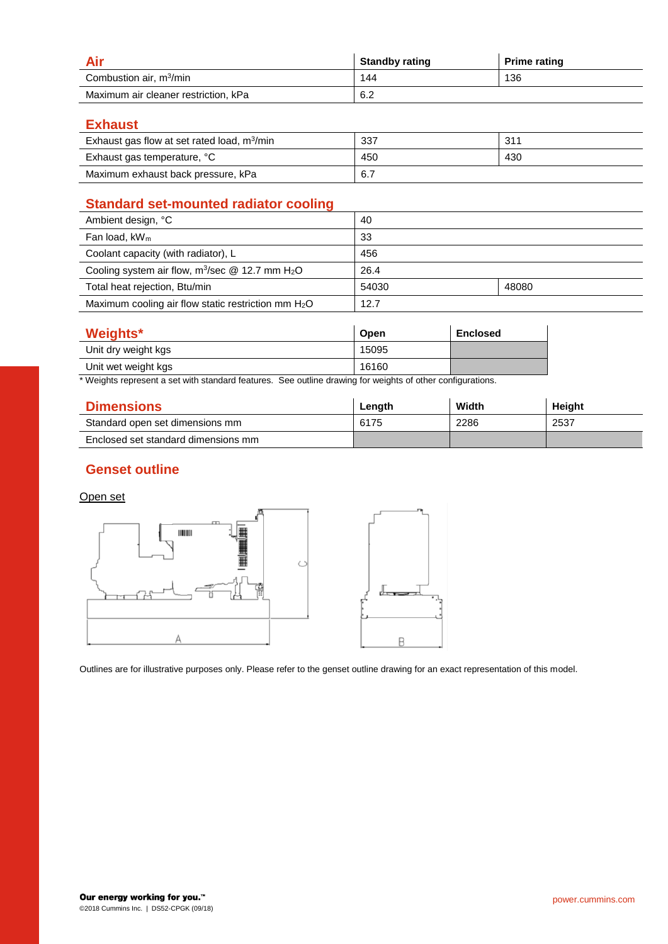|                                      | <b>Standby rating</b> | <b>Prime rating</b> |
|--------------------------------------|-----------------------|---------------------|
| Combustion air, m <sup>3</sup> /min  | 144                   | 136                 |
| Maximum air cleaner restriction, kPa | 6.2                   |                     |

### **Exhaust**

| Exhaust gas flow at set rated load, $m^3/m$ in | 337 | 311 |
|------------------------------------------------|-----|-----|
| Exhaust gas temperature, °C                    | 450 | 430 |
| Maximum exhaust back pressure, kPa             | 6.7 |     |

## **Standard set-mounted radiator cooling**

| Ambient design, °C                                             | 40    |       |
|----------------------------------------------------------------|-------|-------|
| Fan load, $kW_m$                                               | 33    |       |
| Coolant capacity (with radiator), L                            | 456   |       |
| Cooling system air flow, $m^3$ /sec @ 12.7 mm H <sub>2</sub> O | 26.4  |       |
| Total heat rejection, Btu/min                                  | 54030 | 48080 |
| Maximum cooling air flow static restriction mm $H_2O$          | 12.7  |       |

| <b>Weights*</b>     | Open  | <b>Enclosed</b> |
|---------------------|-------|-----------------|
| Unit dry weight kgs | 15095 |                 |
| Unit wet weight kgs | 16160 |                 |

\* Weights represent a set with standard features. See outline drawing for weights of other configurations.

| <b>Dimensions</b>                   | Length | Width | Height |
|-------------------------------------|--------|-------|--------|
| Standard open set dimensions mm     | 6175   | 2286  | 2537   |
| Enclosed set standard dimensions mm |        |       |        |

### **Genset outline**

#### Open set



Outlines are for illustrative purposes only. Please refer to the genset outline drawing for an exact representation of this model.